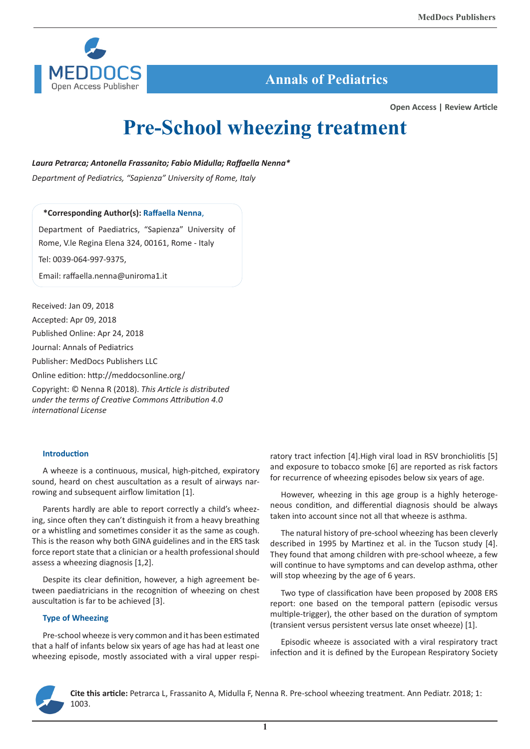

# **Annals of Pediatrics**

**Open Access | Review Article**

# **Pre-School wheezing treatment**

*Laura Petrarca; Antonella Frassanito; Fabio Midulla; Raffaella Nenna\**

*Department of Pediatrics, "Sapienza" University of Rome, Italy*

## **\*Corresponding Author(s): Raffaella Nenna**,

Department of Paediatrics, "Sapienza" University of Rome, V.le Regina Elena 324, 00161, Rome - Italy

Tel: 0039-064-997-9375,

Email: raffaella.nenna@uniroma1.it

Received: Jan 09, 2018

Accepted: Apr 09, 2018

Published Online: Apr 24, 2018

Journal: Annals of Pediatrics

Publisher: MedDocs Publishers LLC

Online edition: http://meddocsonline.org/

Copyright: © Nenna R (2018). *This Article is distributed under the terms of Creative Commons Attribution 4.0 international License*

#### **Introduction**

A wheeze is a continuous, musical, high-pitched, expiratory sound, heard on chest auscultation as a result of airways narrowing and subsequent airflow limitation [1].

Parents hardly are able to report correctly a child's wheezing, since often they can't distinguish it from a heavy breathing or a whistling and sometimes consider it as the same as cough. This is the reason why both GINA guidelines and in the ERS task force report state that a clinician or a health professional should assess a wheezing diagnosis [1,2].

Despite its clear definition, however, a high agreement between paediatricians in the recognition of wheezing on chest auscultation is far to be achieved [3].

#### **Type of Wheezing**

Pre-school wheeze is very common and it has been estimated that a half of infants below six years of age has had at least one wheezing episode, mostly associated with a viral upper respiratory tract infection [4].High viral load in RSV bronchiolitis [5] and exposure to tobacco smoke [6] are reported as risk factors for recurrence of wheezing episodes below six years of age.

However, wheezing in this age group is a highly heterogeneous condition, and differential diagnosis should be always taken into account since not all that wheeze is asthma.

The natural history of pre-school wheezing has been cleverly described in 1995 by Martinez et al. in the Tucson study [4]. They found that among children with pre-school wheeze, a few will continue to have symptoms and can develop asthma, other will stop wheezing by the age of 6 years.

Two type of classification have been proposed by 2008 ERS report: one based on the temporal pattern (episodic versus multiple-trigger), the other based on the duration of symptom (transient versus persistent versus late onset wheeze) [1].

Episodic wheeze is associated with a viral respiratory tract infection and it is defined by the European Respiratory Society



**Cite this article:** Petrarca L, Frassanito A, Midulla F, Nenna R. Pre-school wheezing treatment. Ann Pediatr. 2018; 1: 1003.

**1**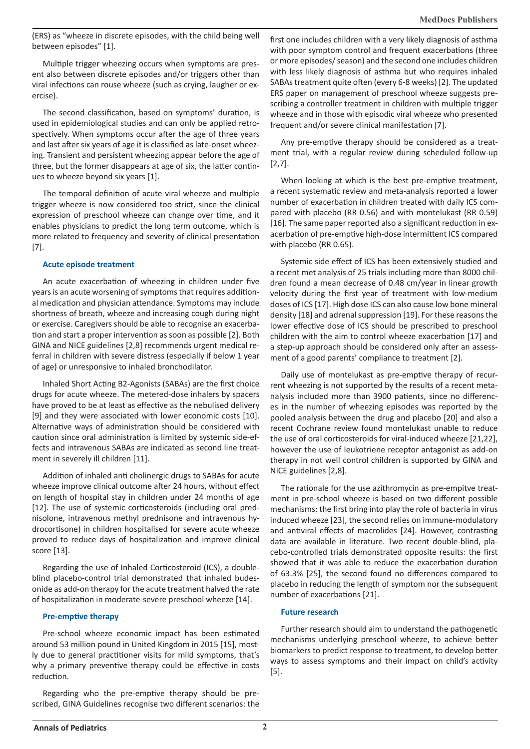(ERS) as "wheeze in discrete episodes, with the child being well between episodes" [1].

Multiple trigger wheezing occurs when symptoms are present also between discrete episodes and/or triggers other than viral infections can rouse wheeze (such as crying, laugher or exercise).

The second classification, based on symptoms' duration, is used in epidemiological studies and can only be applied retrospectively. When symptoms occur after the age of three years and last after six years of age it is classified as late-onset wheezing. Transient and persistent wheezing appear before the age of three, but the former disappears at age of six, the latter continues to wheeze beyond six years [1].

The temporal definition of acute viral wheeze and multiple trigger wheeze is now considered too strict, since the clinical expression of preschool wheeze can change over time, and it enables physicians to predict the long term outcome, which is more related to frequency and severity of clinical presentation [7].

#### **Acute episode treatment**

An acute exacerbation of wheezing in children under five years is an acute worsening of symptoms that requires additional medication and physician attendance. Symptoms may include shortness of breath, wheeze and increasing cough during night or exercise. Caregivers should be able to recognise an exacerbation and start a proper intervention as soon as possible [2]. Both GINA and NICE guidelines [2,8] recommends urgent medical referral in children with severe distress (especially if below 1 year of age) or unresponsive to inhaled bronchodilator.

Inhaled Short Acting B2-Agonists (SABAs) are the first choice drugs for acute wheeze. The metered-dose inhalers by spacers have proved to be at least as effective as the nebulised delivery [9] and they were associated with lower economic costs [10]. Alternative ways of administration should be considered with caution since oral administration is limited by systemic side-effects and intravenous SABAs are indicated as second line treatment in severely ill children [11].

Addition of inhaled anti cholinergic drugs to SABAs for acute wheeze improve clinical outcome after 24 hours, without effect on length of hospital stay in children under 24 months of age [12]. The use of systemic corticosteroids (including oral prednisolone, intravenous methyl prednisone and intravenous hydrocortisone) in children hospitalised for severe acute wheeze proved to reduce days of hospitalization and improve clinical score [13].

Regarding the use of Inhaled Corticosteroid (ICS), a doubleblind placebo-control trial demonstrated that inhaled budesonide as add-on therapy for the acute treatment halved the rate of hospitalization in moderate-severe preschool wheeze [14].

#### **Pre-emptive therapy**

Pre-school wheeze economic impact has been estimated around 53 million pound in United Kingdom in 2015 [15], mostly due to general practitioner visits for mild symptoms, that's why a primary preventive therapy could be effective in costs reduction.

Regarding who the pre-emptive therapy should be prescribed, GINA Guidelines recognise two different scenarios: the first one includes children with a very likely diagnosis of asthma with poor symptom control and frequent exacerbations (three or more episodes/ season) and the second one includes children with less likely diagnosis of asthma but who requires inhaled SABAs treatment quite often (every 6-8 weeks) [2]. The updated ERS paper on management of preschool wheeze suggests prescribing a controller treatment in children with multiple trigger wheeze and in those with episodic viral wheeze who presented frequent and/or severe clinical manifestation [7].

Any pre-emptive therapy should be considered as a treatment trial, with a regular review during scheduled follow-up [2,7].

When looking at which is the best pre-emptive treatment, a recent systematic review and meta-analysis reported a lower number of exacerbation in children treated with daily ICS compared with placebo (RR 0.56) and with montelukast (RR 0.59) [16]. The same paper reported also a significant reduction in exacerbation of pre-emptive high-dose intermittent ICS compared with placebo (RR 0.65).

Systemic side effect of ICS has been extensively studied and a recent met analysis of 25 trials including more than 8000 children found a mean decrease of 0.48 cm/year in linear growth velocity during the first year of treatment with low-medium doses of ICS [17]. High dose ICS can also cause low bone mineral density [18] and adrenal suppression [19]. For these reasons the lower effective dose of ICS should be prescribed to preschool children with the aim to control wheeze exacerbation [17] and a step-up approach should be considered only after an assessment of a good parents' compliance to treatment [2].

Daily use of montelukast as pre-emptive therapy of recurrent wheezing is not supported by the results of a recent metanalysis included more than 3900 patients, since no differences in the number of wheezing episodes was reported by the pooled analysis between the drug and placebo [20] and also a recent Cochrane review found montelukast unable to reduce the use of oral corticosteroids for viral-induced wheeze [21,22], however the use of leukotriene receptor antagonist as add-on therapy in not well control children is supported by GINA and NICE guidelines [2,8].

The rationale for the use azithromycin as pre-empitve treatment in pre-school wheeze is based on two different possible mechanisms: the first bring into play the role of bacteria in virus induced wheeze [23], the second relies on immune-modulatory and antiviral effects of macrolides [24]. However, contrasting data are available in literature. Two recent double-blind, placebo-controlled trials demonstrated opposite results: the first showed that it was able to reduce the exacerbation duration of 63.3% [25], the second found no differences compared to placebo in reducing the length of symptom nor the subsequent number of exacerbations [21].

#### **Future research**

Further research should aim to understand the pathogenetic mechanisms underlying preschool wheeze, to achieve better biomarkers to predict response to treatment, to develop better ways to assess symptoms and their impact on child's activity [5].